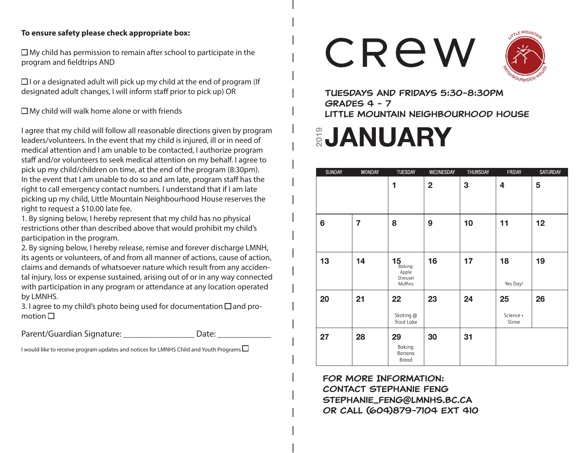#### **To ensure safety please check appropriate box:**

 $\Box$  My child has permission to remain after school to participate in the program and fieldtrips AND

 $\Box$  I or a designated adult will pick up my child at the end of program (If designated adult changes, I will inform staff prior to pick up) OR

 $\square$  My child will walk home alone or with friends

I agree that my child will follow all reasonable directions given by program leaders/volunteers. In the event that my child is injured, ill or in need of medical attention and I am unable to be contacted, I authorize program staff and/or volunteers to seek medical attention on my behalf. I agree to pick up my child/children on time, at the end of the program (8:30pm). In the event that I am unable to do so and am late, program staff has the right to call emergency contact numbers. I understand that if I am late picking up my child, Little Mountain Neighbourhood House reserves the right to request a \$10.00 late fee.

1. By signing below, I hereby represent that my child has no physical restrictions other than described above that would prohibit my child's participation in the program.

2. By signing below, I hereby release, remise and forever discharge LMNH, its agents or volunteers, of and from all manner of actions, cause of action, claims and demands of whatsoever nature which result from any accidental injury, loss or expense sustained, arising out of or in any way connected with participation in any program or attendance at any location operated by LMNHS.

3. I agree to my child's photo being used for documentation  $\Box$  and promotion  $\Box$ 

Parent/Guardian Signature: etc. bate: Date:

I would like to receive program updates and notices for LMNHS Child and Youth Programs  $\Box$ 





Tuesdays and Fridays 5:30-8:30pm Grades 4 - 7 Little Mountain Neighbourhood House

# **EJANUARY**

| <b>SUNDAY</b>  | <b>MONDAY</b>  | <b>TUESDAY</b>                                        | WEDNESDAY      | THURSDAY | <b>FRIDAY</b>            | SATURDAY |
|----------------|----------------|-------------------------------------------------------|----------------|----------|--------------------------|----------|
|                |                | 1                                                     | $\overline{2}$ | 3        | 4                        | 5        |
| $6\phantom{1}$ | $\overline{7}$ | 8                                                     | 9              | 10       | 11                       | 12       |
| 13             | 14             | $15_{\text{Baking:}}$<br>Apple<br>Streusel<br>Muffins | 16             | 17       | 18<br>Yes Day!           | 19       |
| 20             | 21             | 22<br>Skating @<br>Trout Lake                         | 23             | 24       | 25<br>Science +<br>Slime | 26       |
| 27             | 28             | 29<br>Baking:<br>Banana<br>Bread                      | 30             | 31       |                          |          |

For More Information: Contact Stephanie Feng Stephanie\_feng@lmnhs.bc.ca or Call (604)879-7104 EXT 410